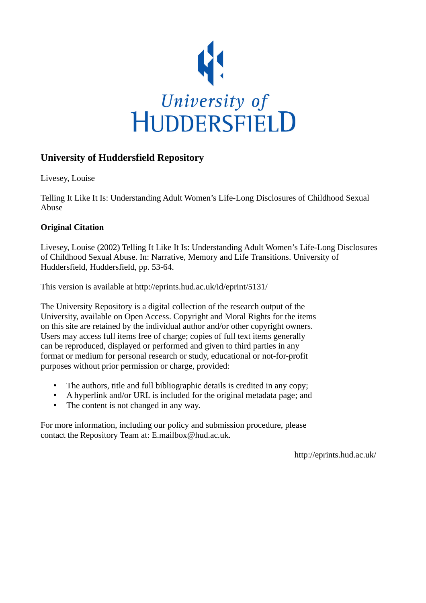

# **University of Huddersfield Repository**

Livesey, Louise

Telling It Like It Is: Understanding Adult Women's Life-Long Disclosures of Childhood Sexual Abuse

# **Original Citation**

Livesey, Louise (2002) Telling It Like It Is: Understanding Adult Women's Life-Long Disclosures of Childhood Sexual Abuse. In: Narrative, Memory and Life Transitions. University of Huddersfield, Huddersfield, pp. 53-64.

This version is available at http://eprints.hud.ac.uk/id/eprint/5131/

The University Repository is a digital collection of the research output of the University, available on Open Access. Copyright and Moral Rights for the items on this site are retained by the individual author and/or other copyright owners. Users may access full items free of charge; copies of full text items generally can be reproduced, displayed or performed and given to third parties in any format or medium for personal research or study, educational or not-for-profit purposes without prior permission or charge, provided:

- The authors, title and full bibliographic details is credited in any copy;
- A hyperlink and/or URL is included for the original metadata page; and
- The content is not changed in any way.

For more information, including our policy and submission procedure, please contact the Repository Team at: E.mailbox@hud.ac.uk.

http://eprints.hud.ac.uk/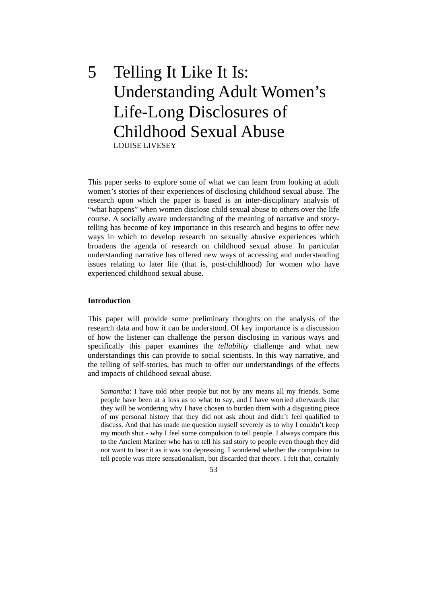5 Telling It Like It Is: Understanding Adult Women's Life-Long Disclosures of Childhood Sexual Abuse LOUISE LIVESEY

This paper seeks to explore some of what we can learn from looking at adult women's stories of their experiences of disclosing childhood sexual abuse. The research upon which the paper is based is an inter-disciplinary analysis of "what happens" when women disclose child sexual abuse to others over the life course. A socially aware understanding of the meaning of narrative and storytelling has become of key importance in this research and begins to offer new ways in which to develop research on sexually abusive experiences which broadens the agenda of research on childhood sexual abuse. In particular understanding narrative has offered new ways of accessing and understanding issues relating to later life (that is, post-childhood) for women who have experienced childhood sexual abuse.

#### **Introduction**

This paper will provide some preliminary thoughts on the analysis of the research data and how it can be understood. Of key importance is a discussion of how the listener can challenge the person disclosing in various ways and specifically this paper examines the *tellability* challenge and what new understandings this can provide to social scientists. In this way narrative, and the telling of self-stories, has much to offer our understandings of the effects and impacts of childhood sexual abuse.

*Samantha*: I have told other people but not by any means all my friends. Some people have been at a loss as to what to say, and I have worried afterwards that they will be wondering why I have chosen to burden them with a disgusting piece of my personal history that they did not ask about and didn't feel qualified to discuss. And that has made me question myself severely as to why I couldn't keep my mouth shut - why I feel some compulsion to tell people. I always compare this to the Ancient Mariner who has to tell his sad story to people even though they did not want to hear it as it was too depressing. I wondered whether the compulsion to tell people was mere sensationalism, but discarded that theory. I felt that, certainly

53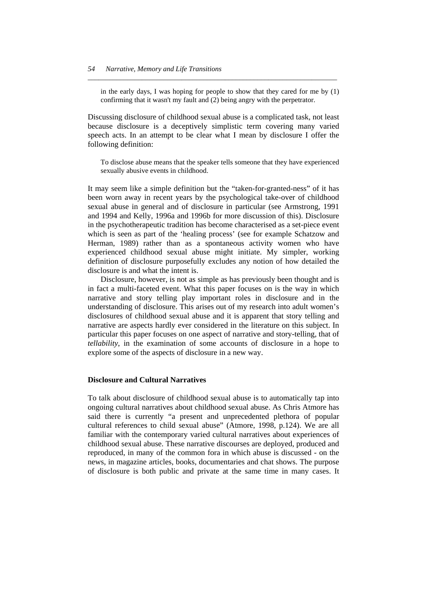in the early days, I was hoping for people to show that they cared for me by (1) confirming that it wasn't my fault and (2) being angry with the perpetrator.

*\_\_\_\_\_\_\_\_\_\_\_\_\_\_\_\_\_\_\_\_\_\_\_\_\_\_\_\_\_\_\_\_\_\_\_\_\_\_\_\_\_\_\_\_\_\_\_\_\_\_\_\_\_\_\_\_\_\_\_\_\_\_\_\_\_\_\_\_\_* 

Discussing disclosure of childhood sexual abuse is a complicated task, not least because disclosure is a deceptively simplistic term covering many varied speech acts. In an attempt to be clear what I mean by disclosure I offer the following definition:

To disclose abuse means that the speaker tells someone that they have experienced sexually abusive events in childhood.

It may seem like a simple definition but the "taken-for-granted-ness" of it has been worn away in recent years by the psychological take-over of childhood sexual abuse in general and of disclosure in particular (see Armstrong, 1991 and 1994 and Kelly, 1996a and 1996b for more discussion of this). Disclosure in the psychotherapeutic tradition has become characterised as a set-piece event which is seen as part of the 'healing process' (see for example Schatzow and Herman, 1989) rather than as a spontaneous activity women who have experienced childhood sexual abuse might initiate. My simpler, working definition of disclosure purposefully excludes any notion of how detailed the disclosure is and what the intent is.

 Disclosure, however, is not as simple as has previously been thought and is in fact a multi-faceted event. What this paper focuses on is the way in which narrative and story telling play important roles in disclosure and in the understanding of disclosure. This arises out of my research into adult women's disclosures of childhood sexual abuse and it is apparent that story telling and narrative are aspects hardly ever considered in the literature on this subject. In particular this paper focuses on one aspect of narrative and story-telling, that of *tellability*, in the examination of some accounts of disclosure in a hope to explore some of the aspects of disclosure in a new way.

#### **Disclosure and Cultural Narratives**

To talk about disclosure of childhood sexual abuse is to automatically tap into ongoing cultural narratives about childhood sexual abuse. As Chris Atmore has said there is currently "a present and unprecedented plethora of popular cultural references to child sexual abuse" (Atmore, 1998, p.124). We are all familiar with the contemporary varied cultural narratives about experiences of childhood sexual abuse. These narrative discourses are deployed, produced and reproduced, in many of the common fora in which abuse is discussed - on the news, in magazine articles, books, documentaries and chat shows. The purpose of disclosure is both public and private at the same time in many cases. It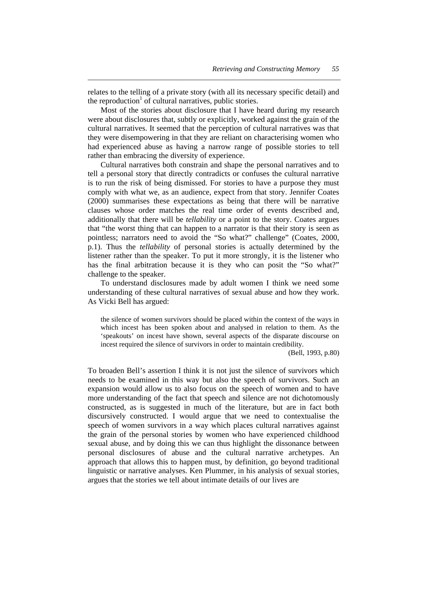relates to the telling of a private story (with all its necessary specific detail) and the reproduction<sup>1</sup> of cultural narratives, public stories.

*\_\_\_\_\_\_\_\_\_\_\_\_\_\_\_\_\_\_\_\_\_\_\_\_\_\_\_\_\_\_\_\_\_\_\_\_\_\_\_\_\_\_\_\_\_\_\_\_\_\_\_\_\_\_\_\_\_\_\_\_\_\_\_\_\_\_\_\_\_\_* 

 Most of the stories about disclosure that I have heard during my research were about disclosures that, subtly or explicitly, worked against the grain of the cultural narratives. It seemed that the perception of cultural narratives was that they were disempowering in that they are reliant on characterising women who had experienced abuse as having a narrow range of possible stories to tell rather than embracing the diversity of experience.

 Cultural narratives both constrain and shape the personal narratives and to tell a personal story that directly contradicts or confuses the cultural narrative is to run the risk of being dismissed. For stories to have a purpose they must comply with what we, as an audience, expect from that story. Jennifer Coates (2000) summarises these expectations as being that there will be narrative clauses whose order matches the real time order of events described and, additionally that there will be *tellability* or a point to the story. Coates argues that "the worst thing that can happen to a narrator is that their story is seen as pointless; narrators need to avoid the "So what?" challenge" (Coates, 2000, p.1). Thus the *tellability* of personal stories is actually determined by the listener rather than the speaker. To put it more strongly, it is the listener who has the final arbitration because it is they who can posit the "So what?" challenge to the speaker.

 To understand disclosures made by adult women I think we need some understanding of these cultural narratives of sexual abuse and how they work. As Vicki Bell has argued:

the silence of women survivors should be placed within the context of the ways in which incest has been spoken about and analysed in relation to them. As the 'speakouts' on incest have shown, several aspects of the disparate discourse on incest required the silence of survivors in order to maintain credibility.

(Bell, 1993, p.80)

To broaden Bell's assertion I think it is not just the silence of survivors which needs to be examined in this way but also the speech of survivors. Such an expansion would allow us to also focus on the speech of women and to have more understanding of the fact that speech and silence are not dichotomously constructed, as is suggested in much of the literature, but are in fact both discursively constructed. I would argue that we need to contextualise the speech of women survivors in a way which places cultural narratives against the grain of the personal stories by women who have experienced childhood sexual abuse, and by doing this we can thus highlight the dissonance between personal disclosures of abuse and the cultural narrative archetypes. An approach that allows this to happen must, by definition, go beyond traditional linguistic or narrative analyses. Ken Plummer, in his analysis of sexual stories, argues that the stories we tell about intimate details of our lives are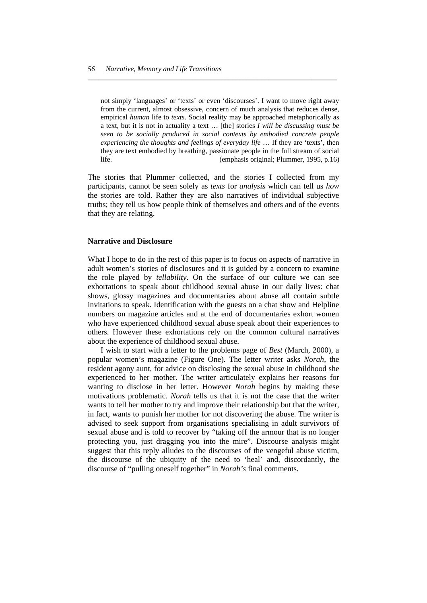not simply 'languages' or 'texts' or even 'discourses'. I want to move right away from the current, almost obsessive, concern of much analysis that reduces dense, empirical *human* life to *texts*. Social reality may be approached metaphorically as a text, but it is not in actuality a text … [the] stories *I will be discussing must be seen to be socially produced in social contexts by embodied concrete people experiencing the thoughts and feelings of everyday life* … If they are 'texts', then they are text embodied by breathing, passionate people in the full stream of social life. (emphasis original; Plummer, 1995, p.16)

*\_\_\_\_\_\_\_\_\_\_\_\_\_\_\_\_\_\_\_\_\_\_\_\_\_\_\_\_\_\_\_\_\_\_\_\_\_\_\_\_\_\_\_\_\_\_\_\_\_\_\_\_\_\_\_\_\_\_\_\_\_\_\_\_\_\_\_\_\_* 

The stories that Plummer collected, and the stories I collected from my participants, cannot be seen solely as *texts* for *analysis* which can tell us *how* the stories are told. Rather they are also narratives of individual subjective truths; they tell us how people think of themselves and others and of the events that they are relating.

#### **Narrative and Disclosure**

What I hope to do in the rest of this paper is to focus on aspects of narrative in adult women's stories of disclosures and it is guided by a concern to examine the role played by *tellability*. On the surface of our culture we can see exhortations to speak about childhood sexual abuse in our daily lives: chat shows, glossy magazines and documentaries about abuse all contain subtle invitations to speak. Identification with the guests on a chat show and Helpline numbers on magazine articles and at the end of documentaries exhort women who have experienced childhood sexual abuse speak about their experiences to others. However these exhortations rely on the common cultural narratives about the experience of childhood sexual abuse.

 I wish to start with a letter to the problems page of *Best* (March, 2000), a popular women's magazine (Figure One). The letter writer asks *Norah*, the resident agony aunt, for advice on disclosing the sexual abuse in childhood she experienced to her mother. The writer articulately explains her reasons for wanting to disclose in her letter. However *Norah* begins by making these motivations problematic. *Norah* tells us that it is not the case that the writer wants to tell her mother to try and improve their relationship but that the writer, in fact, wants to punish her mother for not discovering the abuse. The writer is advised to seek support from organisations specialising in adult survivors of sexual abuse and is told to recover by "taking off the armour that is no longer protecting you, just dragging you into the mire". Discourse analysis might suggest that this reply alludes to the discourses of the vengeful abuse victim, the discourse of the ubiquity of the need to 'heal' and, discordantly, the discourse of "pulling oneself together" in *Norah's* final comments.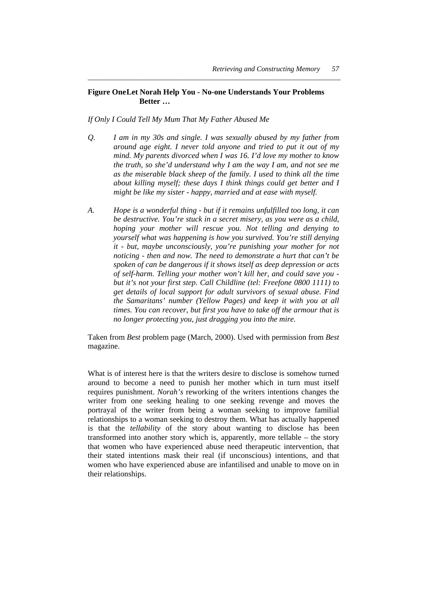#### **Figure One Let Norah Help You - No-one Understands Your Problems Better …**

*\_\_\_\_\_\_\_\_\_\_\_\_\_\_\_\_\_\_\_\_\_\_\_\_\_\_\_\_\_\_\_\_\_\_\_\_\_\_\_\_\_\_\_\_\_\_\_\_\_\_\_\_\_\_\_\_\_\_\_\_\_\_\_\_\_\_\_\_\_\_* 

#### *If Only I Could Tell My Mum That My Father Abused Me*

- *Q. I am in my 30s and single. I was sexually abused by my father from around age eight. I never told anyone and tried to put it out of my mind. My parents divorced when I was 16. I'd love my mother to know the truth, so she'd understand why I am the way I am, and not see me as the miserable black sheep of the family. I used to think all the time about killing myself; these days I think things could get better and I might be like my sister - happy, married and at ease with myself.*
- *A. Hope is a wonderful thing but if it remains unfulfilled too long, it can be destructive. You're stuck in a secret misery, as you were as a child, hoping your mother will rescue you. Not telling and denying to yourself what was happening is how you survived. You're still denying it - but, maybe unconsciously, you're punishing your mother for not noticing - then and now. The need to demonstrate a hurt that can't be spoken of can be dangerous if it shows itself as deep depression or acts of self-harm. Telling your mother won't kill her, and could save you but it's not your first step. Call Childline (tel: Freefone 0800 1111) to get details of local support for adult survivors of sexual abuse. Find the Samaritans' number (Yellow Pages) and keep it with you at all times. You can recover, but first you have to take off the armour that is no longer protecting you, just dragging you into the mire.*

Taken from *Best* problem page (March, 2000). Used with permission from *Best*  magazine.

What is of interest here is that the writers desire to disclose is somehow turned around to become a need to punish her mother which in turn must itself requires punishment. *Norah's* reworking of the writers intentions changes the writer from one seeking healing to one seeking revenge and moves the portrayal of the writer from being a woman seeking to improve familial relationships to a woman seeking to destroy them. What has actually happened is that the *tellability* of the story about wanting to disclose has been transformed into another story which is, apparently, more tellable – the story that women who have experienced abuse need therapeutic intervention, that their stated intentions mask their real (if unconscious) intentions, and that women who have experienced abuse are infantilised and unable to move on in their relationships.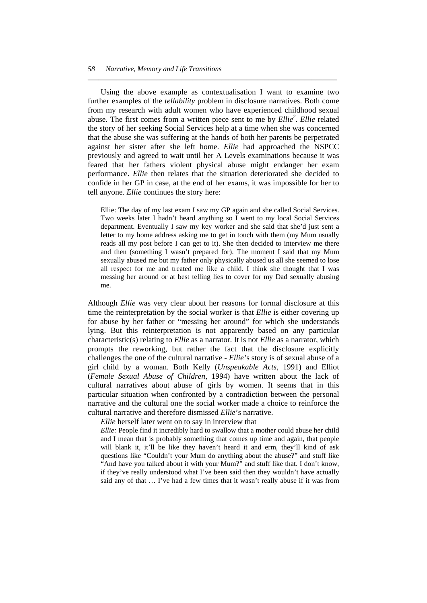Using the above example as contextualisation I want to examine two further examples of the *tellability* problem in disclosure narratives. Both come from my research with adult women who have experienced childhood sexual abuse. The first comes from a written piece sent to me by *Ellie<sup>2</sup>*. *Ellie* related the story of her seeking Social Services help at a time when she was concerned that the abuse she was suffering at the hands of both her parents be perpetrated against her sister after she left home. *Ellie* had approached the NSPCC previously and agreed to wait until her A Levels examinations because it was feared that her fathers violent physical abuse might endanger her exam performance. *Ellie* then relates that the situation deteriorated she decided to confide in her GP in case, at the end of her exams, it was impossible for her to tell anyone. *Ellie* continues the story here:

*\_\_\_\_\_\_\_\_\_\_\_\_\_\_\_\_\_\_\_\_\_\_\_\_\_\_\_\_\_\_\_\_\_\_\_\_\_\_\_\_\_\_\_\_\_\_\_\_\_\_\_\_\_\_\_\_\_\_\_\_\_\_\_\_\_\_\_\_\_* 

Ellie: The day of my last exam I saw my GP again and she called Social Services. Two weeks later I hadn't heard anything so I went to my local Social Services department. Eventually I saw my key worker and she said that she'd just sent a letter to my home address asking me to get in touch with them (my Mum usually reads all my post before I can get to it). She then decided to interview me there and then (something I wasn't prepared for). The moment I said that my Mum sexually abused me but my father only physically abused us all she seemed to lose all respect for me and treated me like a child. I think she thought that I was messing her around or at best telling lies to cover for my Dad sexually abusing me.

Although *Ellie* was very clear about her reasons for formal disclosure at this time the reinterpretation by the social worker is that *Ellie* is either covering up for abuse by her father or "messing her around" for which she understands lying. But this reinterpretation is not apparently based on any particular characteristic(s) relating to *Ellie* as a narrator. It is not *Ellie* as a narrator, which prompts the reworking, but rather the fact that the disclosure explicitly challenges the one of the cultural narrative - *Ellie'*s story is of sexual abuse of a girl child by a woman. Both Kelly (*Unspeakable Acts*, 1991) and Elliot (*Female Sexual Abuse of Children*, 1994) have written about the lack of cultural narratives about abuse of girls by women. It seems that in this particular situation when confronted by a contradiction between the personal narrative and the cultural one the social worker made a choice to reinforce the cultural narrative and therefore dismissed *Ellie*'s narrative.

 *Ellie* herself later went on to say in interview that

*Ellie:* People find it incredibly hard to swallow that a mother could abuse her child and I mean that is probably something that comes up time and again, that people will blank it, it'll be like they haven't heard it and erm, they'll kind of ask questions like "Couldn't your Mum do anything about the abuse?" and stuff like "And have you talked about it with your Mum?" and stuff like that. I don't know, if they've really understood what I've been said then they wouldn't have actually said any of that … I've had a few times that it wasn't really abuse if it was from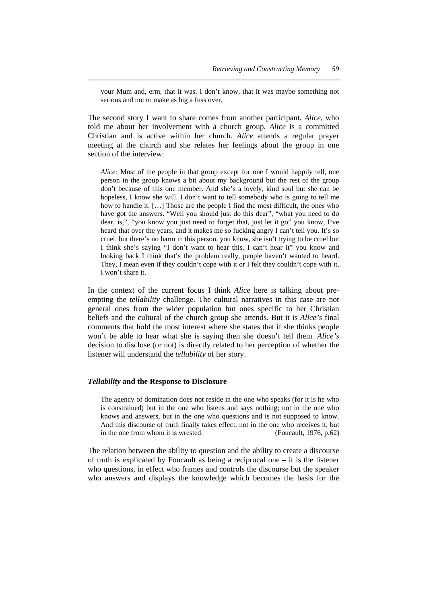your Mum and, erm, that it was, I don't know, that it was maybe something not serious and not to make as big a fuss over.

*\_\_\_\_\_\_\_\_\_\_\_\_\_\_\_\_\_\_\_\_\_\_\_\_\_\_\_\_\_\_\_\_\_\_\_\_\_\_\_\_\_\_\_\_\_\_\_\_\_\_\_\_\_\_\_\_\_\_\_\_\_\_\_\_\_\_\_\_\_\_* 

The second story I want to share comes from another participant, *Alice,* who told me about her involvement with a church group. *Alice* is a committed Christian and is active within her church. *Alice* attends a regular prayer meeting at the church and she relates her feelings about the group in one section of the interview:

*Alice:* Most of the people in that group except for one I would happily tell, one person in the group knows a bit about my background but the rest of the group don't because of this one member. And she's a lovely, kind soul but she can be hopeless, I know she will. I don't want to tell somebody who is going to tell me how to handle it. […] Those are the people I find the most difficult, the ones who have got the answers. "Well you should just do this dear", "what you need to do dear, is,", "you know you just need to forget that, just let it go" you know, I've heard that over the years, and it makes me so fucking angry I can't tell you. It's so cruel, but there's no harm in this person, you know, she isn't trying to be cruel but I think she's saying "I don't want to hear this, I can't hear it" you know and looking back I think that's the problem really, people haven't wanted to heard. They, I mean even if they couldn't cope with it or I felt they couldn't cope with it, I won't share it.

In the context of the current focus I think *Alice* here is talking about preempting the *tellability* challenge. The cultural narratives in this case are not general ones from the wider population but ones specific to her Christian beliefs and the cultural of the church group she attends. But it is *Alice's* final comments that hold the most interest where she states that if she thinks people won't be able to hear what she is saying then she doesn't tell them. *Alice's* decision to disclose (or not) is directly related to her perception of whether the listener will understand the *tellability* of her story.

#### *Tellability* **and the Response to Disclosure**

The agency of domination does not reside in the one who speaks (for it is he who is constrained) but in the one who listens and says nothing; not in the one who knows and answers, but in the one who questions and is not supposed to know. And this discourse of truth finally takes effect, not in the one who receives it, but in the one from whom it is wrested. (Foucault, 1976, p.62)

The relation between the ability to question and the ability to create a discourse of truth is explicated by Foucault as being a reciprocal one – it is the listener who questions, in effect who frames and controls the discourse but the speaker who answers and displays the knowledge which becomes the basis for the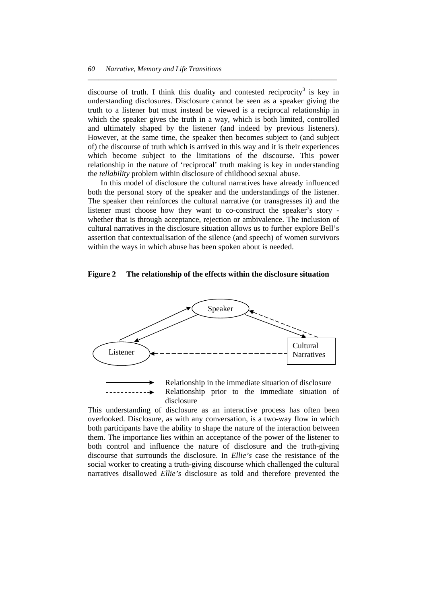discourse of truth. I think this duality and contested reciprocity<sup>3</sup> is key in understanding disclosures. Disclosure cannot be seen as a speaker giving the truth to a listener but must instead be viewed is a reciprocal relationship in which the speaker gives the truth in a way, which is both limited, controlled and ultimately shaped by the listener (and indeed by previous listeners). However, at the same time, the speaker then becomes subject to (and subject of) the discourse of truth which is arrived in this way and it is their experiences which become subject to the limitations of the discourse. This power relationship in the nature of 'reciprocal' truth making is key in understanding the *tellability* problem within disclosure of childhood sexual abuse.

*\_\_\_\_\_\_\_\_\_\_\_\_\_\_\_\_\_\_\_\_\_\_\_\_\_\_\_\_\_\_\_\_\_\_\_\_\_\_\_\_\_\_\_\_\_\_\_\_\_\_\_\_\_\_\_\_\_\_\_\_\_\_\_\_\_\_\_\_\_* 

 In this model of disclosure the cultural narratives have already influenced both the personal story of the speaker and the understandings of the listener. The speaker then reinforces the cultural narrative (or transgresses it) and the listener must choose how they want to co-construct the speaker's story whether that is through acceptance, rejection or ambivalence. The inclusion of cultural narratives in the disclosure situation allows us to further explore Bell's assertion that contextualisation of the silence (and speech) of women survivors within the ways in which abuse has been spoken about is needed.

#### **Figure 2 The relationship of the effects within the disclosure situation**



This understanding of disclosure as an interactive process has often been overlooked. Disclosure, as with any conversation, is a two-way flow in which both participants have the ability to shape the nature of the interaction between them. The importance lies within an acceptance of the power of the listener to both control and influence the nature of disclosure and the truth-giving discourse that surrounds the disclosure. In *Ellie's* case the resistance of the social worker to creating a truth-giving discourse which challenged the cultural narratives disallowed *Ellie's* disclosure as told and therefore prevented the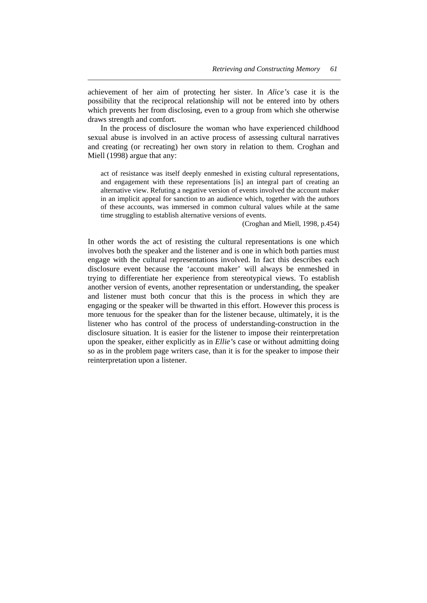achievement of her aim of protecting her sister. In *Alice's* case it is the possibility that the reciprocal relationship will not be entered into by others which prevents her from disclosing, even to a group from which she otherwise draws strength and comfort.

*\_\_\_\_\_\_\_\_\_\_\_\_\_\_\_\_\_\_\_\_\_\_\_\_\_\_\_\_\_\_\_\_\_\_\_\_\_\_\_\_\_\_\_\_\_\_\_\_\_\_\_\_\_\_\_\_\_\_\_\_\_\_\_\_\_\_\_\_\_\_* 

 In the process of disclosure the woman who have experienced childhood sexual abuse is involved in an active process of assessing cultural narratives and creating (or recreating) her own story in relation to them. Croghan and Miell (1998) argue that any:

act of resistance was itself deeply enmeshed in existing cultural representations, and engagement with these representations [is] an integral part of creating an alternative view. Refuting a negative version of events involved the account maker in an implicit appeal for sanction to an audience which, together with the authors of these accounts, was immersed in common cultural values while at the same time struggling to establish alternative versions of events.

(Croghan and Miell, 1998, p.454)

In other words the act of resisting the cultural representations is one which involves both the speaker and the listener and is one in which both parties must engage with the cultural representations involved. In fact this describes each disclosure event because the 'account maker' will always be enmeshed in trying to differentiate her experience from stereotypical views. To establish another version of events, another representation or understanding, the speaker and listener must both concur that this is the process in which they are engaging or the speaker will be thwarted in this effort. However this process is more tenuous for the speaker than for the listener because, ultimately, it is the listener who has control of the process of understanding-construction in the disclosure situation. It is easier for the listener to impose their reinterpretation upon the speaker, either explicitly as in *Ellie'*s case or without admitting doing so as in the problem page writers case, than it is for the speaker to impose their reinterpretation upon a listener.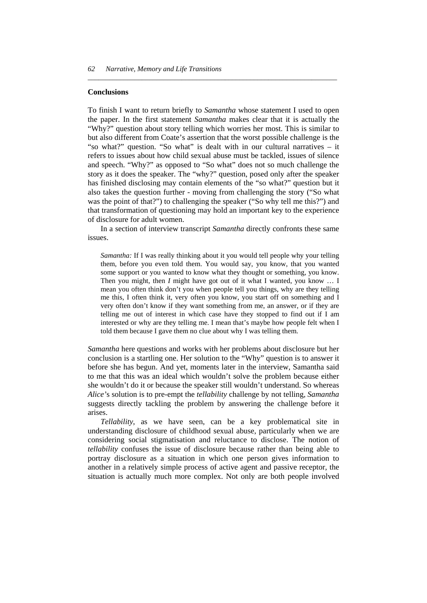#### **Conclusions**

To finish I want to return briefly to *Samantha* whose statement I used to open the paper. In the first statement *Samantha* makes clear that it is actually the "Why?" question about story telling which worries her most. This is similar to but also different from Coate's assertion that the worst possible challenge is the "so what?" question. "So what" is dealt with in our cultural narratives – it refers to issues about how child sexual abuse must be tackled, issues of silence and speech. "Why?" as opposed to "So what" does not so much challenge the story as it does the speaker. The "why?" question, posed only after the speaker has finished disclosing may contain elements of the "so what?" question but it also takes the question further - moving from challenging the story ("So what was the point of that?") to challenging the speaker ("So why tell me this?") and that transformation of questioning may hold an important key to the experience of disclosure for adult women.

*\_\_\_\_\_\_\_\_\_\_\_\_\_\_\_\_\_\_\_\_\_\_\_\_\_\_\_\_\_\_\_\_\_\_\_\_\_\_\_\_\_\_\_\_\_\_\_\_\_\_\_\_\_\_\_\_\_\_\_\_\_\_\_\_\_\_\_\_\_* 

 In a section of interview transcript *Samantha* directly confronts these same issues.

*Samantha:* If I was really thinking about it you would tell people why your telling them, before you even told them. You would say, you know, that you wanted some support or you wanted to know what they thought or something, you know. Then you might, then *I* might have got out of it what I wanted, you know ... I mean you often think don't you when people tell you things, why are they telling me this, I often think it, very often you know, you start off on something and I very often don't know if they want something from me, an answer, or if they are telling me out of interest in which case have they stopped to find out if I am interested or why are they telling me. I mean that's maybe how people felt when I told them because I gave them no clue about why I was telling them.

*Samantha* here questions and works with her problems about disclosure but her conclusion is a startling one. Her solution to the "Why" question is to answer it before she has begun. And yet, moments later in the interview, Samantha said to me that this was an ideal which wouldn't solve the problem because either she wouldn't do it or because the speaker still wouldn't understand. So whereas *Alice'*s solution is to pre-empt the *tellability* challenge by not telling, *Samantha* suggests directly tackling the problem by answering the challenge before it arises.

 *Tellability*, as we have seen, can be a key problematical site in understanding disclosure of childhood sexual abuse, particularly when we are considering social stigmatisation and reluctance to disclose. The notion of *tellability* confuses the issue of disclosure because rather than being able to portray disclosure as a situation in which one person gives information to another in a relatively simple process of active agent and passive receptor, the situation is actually much more complex. Not only are both people involved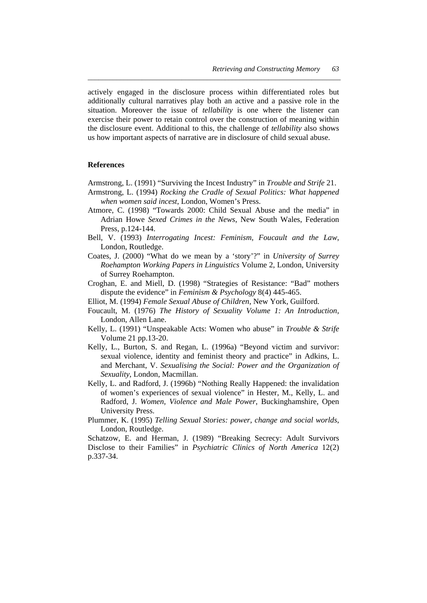actively engaged in the disclosure process within differentiated roles but additionally cultural narratives play both an active and a passive role in the situation. Moreover the issue of *tellability* is one where the listener can exercise their power to retain control over the construction of meaning within the disclosure event. Additional to this, the challenge of *tellability* also shows us how important aspects of narrative are in disclosure of child sexual abuse.

*\_\_\_\_\_\_\_\_\_\_\_\_\_\_\_\_\_\_\_\_\_\_\_\_\_\_\_\_\_\_\_\_\_\_\_\_\_\_\_\_\_\_\_\_\_\_\_\_\_\_\_\_\_\_\_\_\_\_\_\_\_\_\_\_\_\_\_\_\_\_* 

#### **References**

- Armstrong, L. (1991) "Surviving the Incest Industry" in *Trouble and Strife* 21.
- Armstrong, L. (1994) *Rocking the Cradle of Sexual Politics: What happened when women said incest*, London, Women's Press.
- Atmore, C. (1998) "Towards 2000: Child Sexual Abuse and the media" in Adrian Howe *Sexed Crimes in the News*, New South Wales, Federation Press, p.124-144.
- Bell, V. (1993) *Interrogating Incest: Feminism, Foucault and the Law*, London, Routledge.
- Coates, J. (2000) "What do we mean by a 'story'?" in *University of Surrey Roehampton Working Papers in Linguistics* Volume 2, London, University of Surrey Roehampton.
- Croghan, E. and Miell, D. (1998) "Strategies of Resistance: "Bad" mothers dispute the evidence" in *Feminism & Psychology* 8(4) 445-465.
- Elliot, M. (1994) *Female Sexual Abuse of Children*, New York, Guilford.
- Foucault, M. (1976) *The History of Sexuality Volume 1: An Introduction*, London, Allen Lane.
- Kelly, L. (1991) "Unspeakable Acts: Women who abuse" in *Trouble & Strife* Volume 21 pp.13-20.
- Kelly, L., Burton, S. and Regan, L. (1996a) "Beyond victim and survivor: sexual violence, identity and feminist theory and practice" in Adkins, L. and Merchant, V. *Sexualising the Social: Power and the Organization of Sexuality*, London, Macmillan.
- Kelly, L. and Radford, J. (1996b) "Nothing Really Happened: the invalidation of women's experiences of sexual violence" in Hester, M., Kelly, L. and Radford, J. *Women, Violence and Male Power*, Buckinghamshire, Open University Press.
- Plummer, K. (1995) *Telling Sexual Stories: power, change and social worlds*, London, Routledge.

Schatzow, E. and Herman, J. (1989) "Breaking Secrecy: Adult Survivors Disclose to their Families" in *Psychiatric Clinics of North America* 12(2) p.337-34.